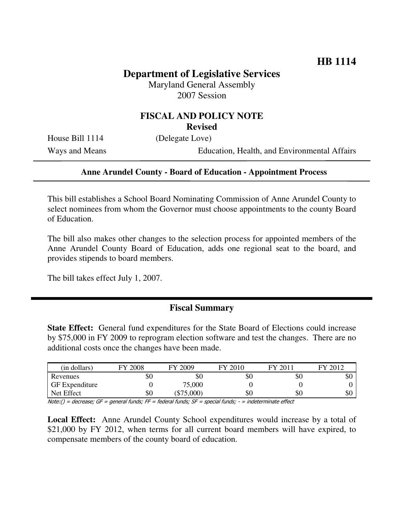# **Department of Legislative Services** Maryland General Assembly

2007 Session

#### **FISCAL AND POLICY NOTE Revised**

House Bill 1114 (Delegate Love)

Ways and Means Education, Health, and Environmental Affairs

#### **Anne Arundel County - Board of Education - Appointment Process**

This bill establishes a School Board Nominating Commission of Anne Arundel County to select nominees from whom the Governor must choose appointments to the county Board of Education.

The bill also makes other changes to the selection process for appointed members of the Anne Arundel County Board of Education, adds one regional seat to the board, and provides stipends to board members.

The bill takes effect July 1, 2007.

#### **Fiscal Summary**

**State Effect:** General fund expenditures for the State Board of Elections could increase by \$75,000 in FY 2009 to reprogram election software and test the changes. There are no additional costs once the changes have been made.

| (in dollars)          | 2008<br>FV    | 2009<br>FУ       | 2010<br>FV              | ГV<br>$\Omega$ $\Omega$ 1 | 2012<br>ГV |
|-----------------------|---------------|------------------|-------------------------|---------------------------|------------|
| Revenues              | \$0           | \$0              | \$0                     | \$0                       | \$0        |
| <b>GF</b> Expenditure |               | 75,000           |                         |                           |            |
| Net Effect            | \$0           | \$75,000         | \$0                     | \$0                       | \$0        |
| $\cdots$<br>$-$       | $-$<br>$\sim$ | $\sim$<br>$\sim$ | $\cdot$ $\cdot$ $\cdot$ | $\sim$ $\sim$<br>.<br>. . |            |

 $Note: ( ) = decrease; GF = general funds; FF = federal funds; SF = special funds; -The B, P.$ 

**Local Effect:** Anne Arundel County School expenditures would increase by a total of \$21,000 by FY 2012, when terms for all current board members will have expired, to compensate members of the county board of education.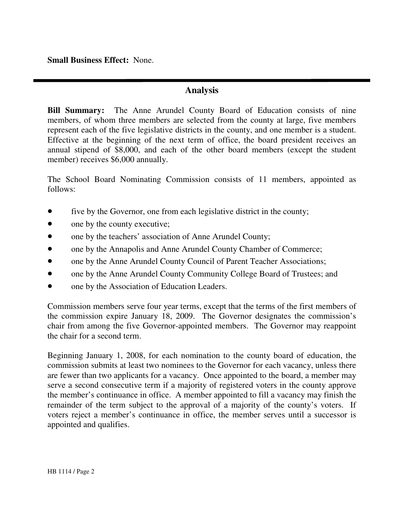**Small Business Effect:** None.

## **Analysis**

**Bill Summary:** The Anne Arundel County Board of Education consists of nine members, of whom three members are selected from the county at large, five members represent each of the five legislative districts in the county, and one member is a student. Effective at the beginning of the next term of office, the board president receives an annual stipend of \$8,000, and each of the other board members (except the student member) receives \$6,000 annually.

The School Board Nominating Commission consists of 11 members, appointed as follows:

- five by the Governor, one from each legislative district in the county;
- one by the county executive;
- one by the teachers' association of Anne Arundel County;
- one by the Annapolis and Anne Arundel County Chamber of Commerce;
- one by the Anne Arundel County Council of Parent Teacher Associations;
- one by the Anne Arundel County Community College Board of Trustees; and
- one by the Association of Education Leaders.

Commission members serve four year terms, except that the terms of the first members of the commission expire January 18, 2009. The Governor designates the commission's chair from among the five Governor-appointed members. The Governor may reappoint the chair for a second term.

Beginning January 1, 2008, for each nomination to the county board of education, the commission submits at least two nominees to the Governor for each vacancy, unless there are fewer than two applicants for a vacancy. Once appointed to the board, a member may serve a second consecutive term if a majority of registered voters in the county approve the member's continuance in office. A member appointed to fill a vacancy may finish the remainder of the term subject to the approval of a majority of the county's voters. If voters reject a member's continuance in office, the member serves until a successor is appointed and qualifies.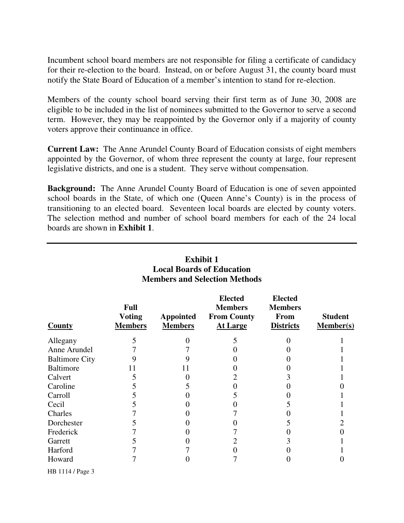Incumbent school board members are not responsible for filing a certificate of candidacy for their re-election to the board. Instead, on or before August 31, the county board must notify the State Board of Education of a member's intention to stand for re-election.

Members of the county school board serving their first term as of June 30, 2008 are eligible to be included in the list of nominees submitted to the Governor to serve a second term. However, they may be reappointed by the Governor only if a majority of county voters approve their continuance in office.

**Current Law:** The Anne Arundel County Board of Education consists of eight members appointed by the Governor, of whom three represent the county at large, four represent legislative districts, and one is a student. They serve without compensation.

**Background:** The Anne Arundel County Board of Education is one of seven appointed school boards in the State, of which one (Queen Anne's County) is in the process of transitioning to an elected board. Seventeen local boards are elected by county voters. The selection method and number of school board members for each of the 24 local boards are shown in **Exhibit 1**.

| <b>Members and Selection Methods</b> |                                                |                                    |                                                                           |                                                              |                                    |
|--------------------------------------|------------------------------------------------|------------------------------------|---------------------------------------------------------------------------|--------------------------------------------------------------|------------------------------------|
| <b>County</b>                        | <b>Full</b><br><b>Voting</b><br><b>Members</b> | <b>Appointed</b><br><b>Members</b> | <b>Elected</b><br><b>Members</b><br><b>From County</b><br><b>At Large</b> | <b>Elected</b><br><b>Members</b><br>From<br><b>Districts</b> | <b>Student</b><br><b>Member(s)</b> |
| Allegany                             | 5                                              |                                    | 5                                                                         |                                                              |                                    |
| Anne Arundel                         |                                                |                                    |                                                                           |                                                              |                                    |
| <b>Baltimore City</b>                |                                                |                                    |                                                                           |                                                              |                                    |
| <b>Baltimore</b>                     | 11                                             | 11                                 |                                                                           |                                                              |                                    |
| Calvert                              |                                                |                                    |                                                                           |                                                              |                                    |
| Caroline                             |                                                |                                    |                                                                           |                                                              |                                    |
| Carroll                              |                                                |                                    |                                                                           |                                                              |                                    |
| Cecil                                |                                                |                                    |                                                                           |                                                              |                                    |
| Charles                              |                                                |                                    |                                                                           |                                                              |                                    |
| Dorchester                           |                                                |                                    |                                                                           | C                                                            |                                    |
| Frederick                            |                                                |                                    |                                                                           |                                                              |                                    |
| Garrett                              |                                                |                                    |                                                                           |                                                              |                                    |
| Harford                              |                                                |                                    |                                                                           |                                                              |                                    |
| Howard                               |                                                |                                    |                                                                           |                                                              |                                    |

# **Exhibit 1 Local Boards of Education**

HB 1114 / Page 3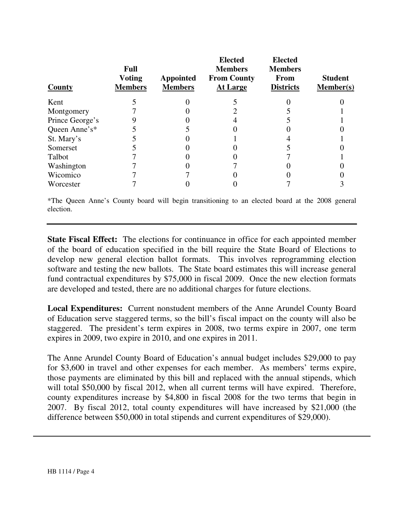| County          | <b>Full</b><br><b>Voting</b><br><b>Members</b> | <b>Appointed</b><br><b>Members</b> | <b>Elected</b><br><b>Members</b><br><b>From County</b><br><b>At Large</b> | <b>Elected</b><br><b>Members</b><br>From<br><b>Districts</b> | <b>Student</b><br>Member(s) |
|-----------------|------------------------------------------------|------------------------------------|---------------------------------------------------------------------------|--------------------------------------------------------------|-----------------------------|
| Kent            |                                                |                                    |                                                                           |                                                              |                             |
| Montgomery      |                                                |                                    |                                                                           |                                                              |                             |
| Prince George's |                                                |                                    |                                                                           |                                                              |                             |
| Queen Anne's*   |                                                |                                    |                                                                           |                                                              |                             |
| St. Mary's      |                                                |                                    |                                                                           |                                                              |                             |
| Somerset        |                                                |                                    |                                                                           |                                                              |                             |
| Talbot          |                                                |                                    |                                                                           |                                                              |                             |
| Washington      |                                                |                                    |                                                                           |                                                              |                             |
| Wicomico        |                                                |                                    |                                                                           |                                                              |                             |
| Worcester       |                                                |                                    |                                                                           |                                                              |                             |

\*The Queen Anne's County board will begin transitioning to an elected board at the 2008 general election.

**State Fiscal Effect:** The elections for continuance in office for each appointed member of the board of education specified in the bill require the State Board of Elections to develop new general election ballot formats. This involves reprogramming election software and testing the new ballots. The State board estimates this will increase general fund contractual expenditures by \$75,000 in fiscal 2009. Once the new election formats are developed and tested, there are no additional charges for future elections.

**Local Expenditures:** Current nonstudent members of the Anne Arundel County Board of Education serve staggered terms, so the bill's fiscal impact on the county will also be staggered. The president's term expires in 2008, two terms expire in 2007, one term expires in 2009, two expire in 2010, and one expires in 2011.

The Anne Arundel County Board of Education's annual budget includes \$29,000 to pay for \$3,600 in travel and other expenses for each member. As members' terms expire, those payments are eliminated by this bill and replaced with the annual stipends, which will total \$50,000 by fiscal 2012, when all current terms will have expired. Therefore, county expenditures increase by \$4,800 in fiscal 2008 for the two terms that begin in 2007. By fiscal 2012, total county expenditures will have increased by \$21,000 (the difference between \$50,000 in total stipends and current expenditures of \$29,000).